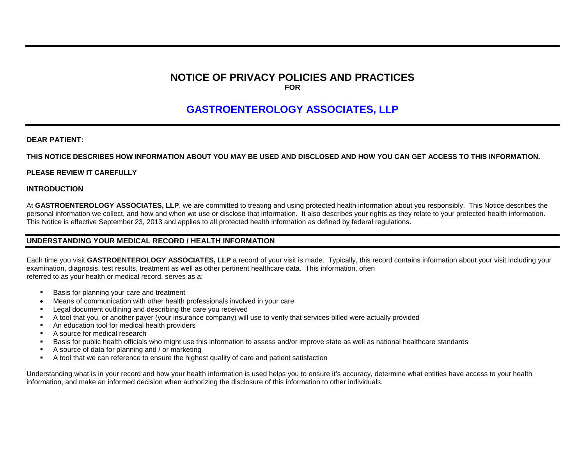## **NOTICE OF PRIVACY POLICIES AND PRACTICES FOR**

# **GASTROENTEROLOGY ASSOCIATES, LLP**

#### **DEAR PATIENT:**

#### **THIS NOTICE DESCRIBES HOW INFORMATION ABOUT YOU MAY BE USED AND DISCLOSED AND HOW YOU CAN GET ACCESS TO THIS INFORMATION.**

#### **PLEASE REVIEW IT CAREFULLY**

#### **INTRODUCTION**

At **GASTROENTEROLOGY ASSOCIATES, LLP**, we are committed to treating and using protected health information about you responsibly. This Notice describes the personal information we collect, and how and when we use or disclose that information. It also describes your rights as they relate to your protected health information. This Notice is effective September 23, 2013 and applies to all protected health information as defined by federal regulations.

#### **UNDERSTANDING YOUR MEDICAL RECORD / HEALTH INFORMATION**

Each time you visit **GASTROENTEROLOGY ASSOCIATES, LLP** a record of your visit is made. Typically, this record contains information about your visit including your examination, diagnosis, test results, treatment as well as other pertinent healthcare data. This information, often referred to as your health or medical record, serves as a:

- Basis for planning your care and treatment
- Means of communication with other health professionals involved in your care
- Legal document outlining and describing the care you received
- A tool that you, or another payer (your insurance company) will use to verify that services billed were actually provided
- An education tool for medical health providers
- A source for medical research
- Basis for public health officials who might use this information to assess and/or improve state as well as national healthcare standards
- A source of data for planning and / or marketing
- A tool that we can reference to ensure the highest quality of care and patient satisfaction

Understanding what is in your record and how your health information is used helps you to ensure it's accuracy, determine what entities have access to your health information, and make an informed decision when authorizing the disclosure of this information to other individuals.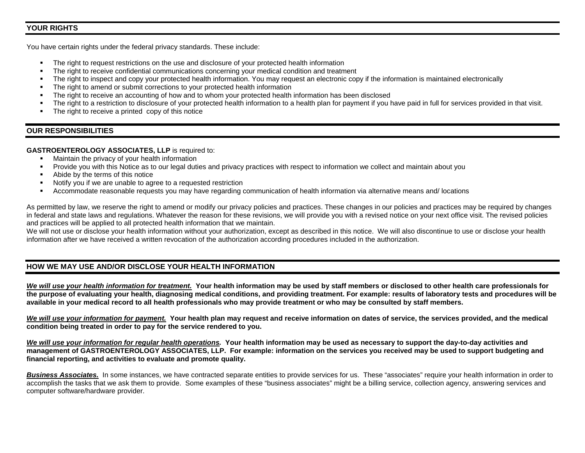## **YOUR RIGHTS**

You have certain rights under the federal privacy standards. These include:

- The right to request restrictions on the use and disclosure of your protected health information
- The right to receive confidential communications concerning your medical condition and treatment
- The right to inspect and copy your protected health information. You may request an electronic copy if the information is maintained electronically
- The right to amend or submit corrections to your protected health information
- The right to receive an accounting of how and to whom your protected health information has been disclosed
- The right to a restriction to disclosure of your protected health information to a health plan for payment if you have paid in full for services provided in that visit.
- The right to receive a printed copy of this notice

### **OUR RESPONSIBILITIES**

#### **GASTROENTEROLOGY ASSOCIATES, LLP** is required to:

- Maintain the privacy of your health information
- Provide you with this Notice as to our legal duties and privacy practices with respect to information we collect and maintain about you
- Abide by the terms of this notice
- Notify you if we are unable to agree to a requested restriction
- Accommodate reasonable requests you may have regarding communication of health information via alternative means and/ locations

As permitted by law, we reserve the right to amend or modify our privacy policies and practices. These changes in our policies and practices may be required by changes in federal and state laws and regulations. Whatever the reason for these revisions, we will provide you with a revised notice on your next office visit. The revised policies and practices will be applied to all protected health information that we maintain.

We will not use or disclose your health information without your authorization, except as described in this notice. We will also discontinue to use or disclose your health information after we have received a written revocation of the authorization according procedures included in the authorization.

## **HOW WE MAY USE AND/OR DISCLOSE YOUR HEALTH INFORMATION**

*We will use your health information for treatment.* **Your health information may be used by staff members or disclosed to other health care professionals for the purpose of evaluating your health, diagnosing medical conditions, and providing treatment. For example: results of laboratory tests and procedures will be available in your medical record to all health professionals who may provide treatment or who may be consulted by staff members.**

*We will use your information for payment.* **Your health plan may request and receive information on dates of service, the services provided, and the medical condition being treated in order to pay for the service rendered to you.**

*We will use your information for regular health operations.* **Your health information may be used as necessary to support the day-to-day activities and management of GASTROENTEROLOGY ASSOCIATES, LLP. For example: information on the services you received may be used to support budgeting and financial reporting, and activities to evaluate and promote quality.**

*Business Associates.* In some instances, we have contracted separate entities to provide services for us. These "associates" require your health information in order to accomplish the tasks that we ask them to provide. Some examples of these "business associates" might be a billing service, collection agency, answering services and computer software/hardware provider.